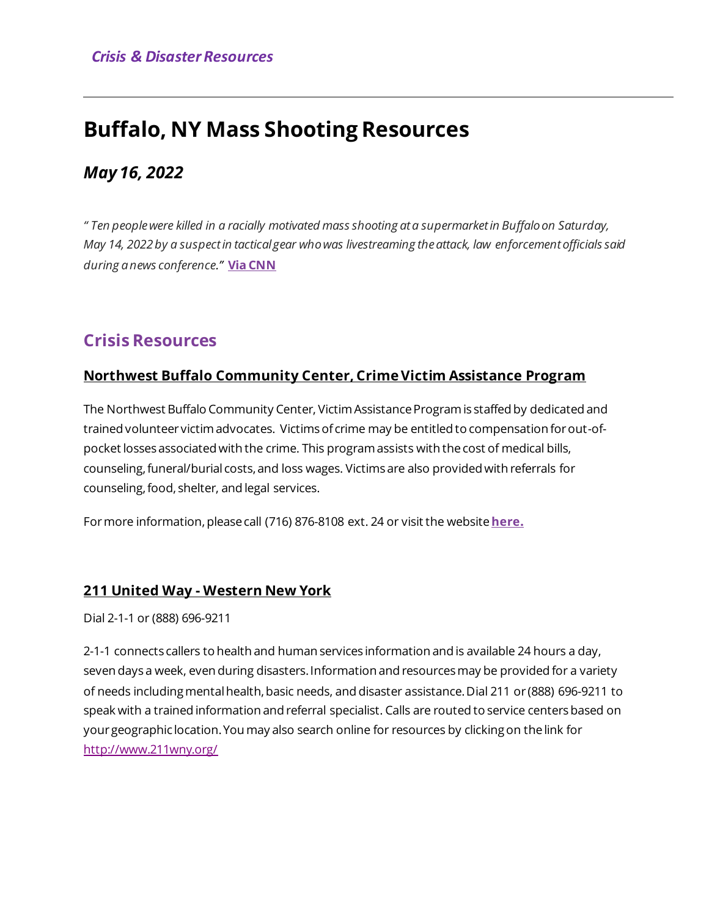# **Buffalo, NY Mass Shooting Resources**

## *May 16, 2022*

*" Ten people were killed in a racially motivated mass shooting at a supermarket in Buffalo on Saturday, May 14, 2022 by a suspect in tactical gear who was livestreaming the attack, law enforcement officials said during a news conference."* **[Via CNN](https://www.cnn.com/2022/05/14/us/buffalo-ny-supermarket-multiple-shooting/index.html)** 

## **Crisis Resources**

### **Northwest Buffalo Community Center, Crime Victim Assistance Program**

The Northwest Buffalo Community Center, Victim Assistance Program is staffed by dedicated and trained volunteer victim advocates. Victims of crime may be entitled to compensation for out-ofpocket losses associated with the crime. This program assists with the cost of medical bills, counseling, funeral/burial costs, and loss wages. Victims are also provided with referrals for counseling, food, shelter, and legal services.

For more information, please call (716) 876-8108 ext. 24 or visit the website [here](https://northwestbuffalo.org/crime-victims-assistance-program/).

## **211 United Way - Western New York**

Dial 2-1-1 or (888) 696-9211

2-1-1 connects callers to health and human services information and is available 24 hours a day, seven days a week, even during disasters. Information and resources may be provided for a variety of needs including mental health, basic needs, and disaster assistance. Dial 211 or (888) 696-9211 to speak with a trained information and referral specialist. Calls are routed to service centers based on your geographic location. You may also search online for resources by clicking on the link for <http://www.211wny.org/>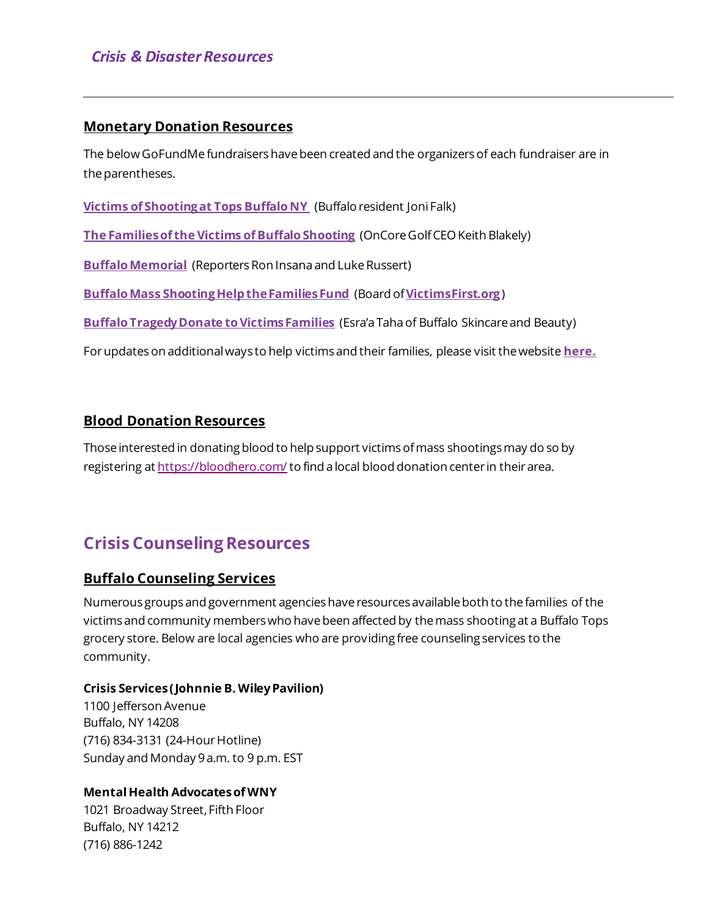#### **Monetary Donation Resources**

The below GoFundMe fundraisers have been created and the organizers of each fundraiser are in the parentheses.

**[Victims of Shooting at Tops Buffalo NY](https://www.gofundme.com/f/victims-of-shooting-at-tops-buffalo-ny)** (Buffalo resident Joni Falk)

**[The Families of the Victims of Buffalo Shooting](https://www.gofundme.com/f/the-families-of-the-victims-of-buffalo-shooting)** (OnCore Golf CEO Keith Blakely)

**[Buffalo Memorial](https://www.gofundme.com/f/buffalo-memorial)** (Reporters Ron Insana and Luke Russert)

**[Buffalo Mass Shooting Help the Families Fund](https://www.gofundme.com/f/buffalo-mass-shooting-help-the-families-fund)** (Board of **[VictimsFirst.org](https://www.victimsfirst.org/)**)

**[Buffalo Tragedy Donate to Victims Families](https://www.gofundme.com/f/donate-to-the-victims-families-on-gofundme)** (Esra'a Taha of Buffalo Skincare and Beauty)

For updates on additional ways to help victims and their families, please visit the website **[here.](https://www.wivb.com/news/buffalo-supermarket-mass-shooting-tops/ways-to-help-those-affected-by-the-buffalo-mass-shooting/)**

#### **Blood Donation Resources**

Those interested in donating blood to help support victims of mass shootings may do so by registering a[t https://bloodhero.com/](https://bloodhero.com/) to find a local blood donation center in their area.

# **Crisis Counseling Resources**

#### **Buffalo Counseling Services**

Numerous groups and government agencies have resources available both to the families of the victims and community members who have been affected by the mass shooting at a Buffalo Tops grocery store. Below are local agencies who are providing free counseling services to the community.

#### **Crisis Services ( Johnnie B. Wiley Pavilion)**

1100 Jefferson Avenue Buffalo, NY 14208 (716) 834-3131 (24-Hour Hotline) Sunday and Monday 9 a.m. to 9 p.m. EST

#### **Mental Health Advocates of WNY**

1021 Broadway Street, Fifth Floor Buffalo, NY 14212 (716) 886-1242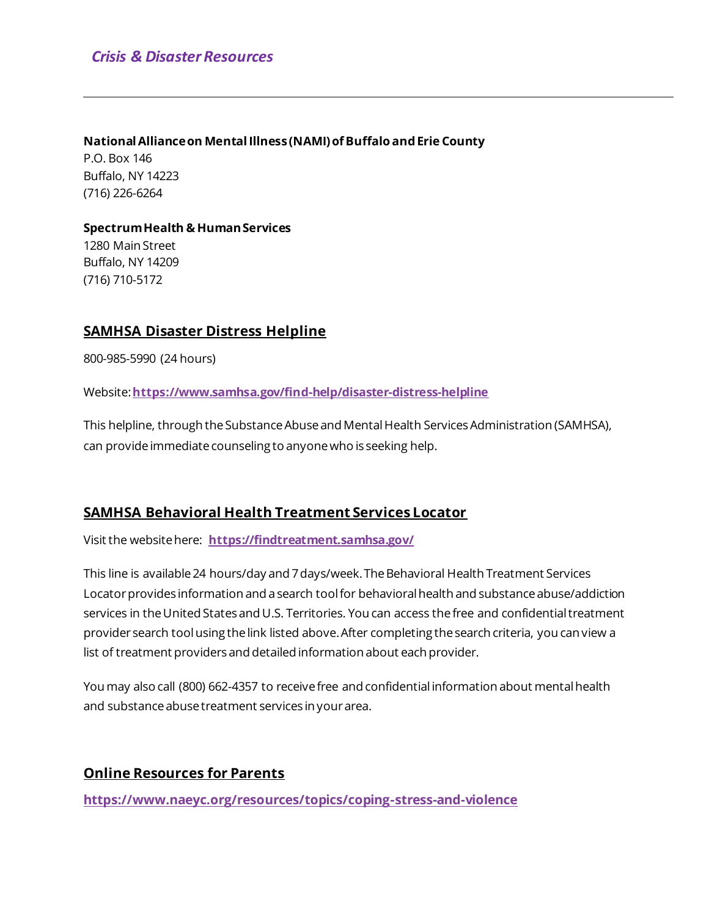#### **National Alliance on Mental Illness (NAMI) of Buffalo and Erie County**

P.O. Box 146 Buffalo, NY 14223 (716) 226-6264

#### **Spectrum Health & Human Services** 1280 Main Street

Buffalo, NY 14209 (716) 710-5172

#### **SAMHSA Disaster Distress Helpline**

800-985-5990 (24 hours)

Website: **<https://www.samhsa.gov/find-help/disaster-distress-helpline>**

This helpline, through the Substance Abuse and Mental Health Services Administration (SAMHSA), can provide immediate counseling to anyone who is seeking help.

#### **SAMHSA Behavioral Health Treatment Services Locator**

Visit the website here: **<https://findtreatment.samhsa.gov/>**

This line is available 24 hours/day and 7 days/week. The Behavioral Health Treatment Services Locator provides information and a search tool for behavioral health and substance abuse/addiction services in the United States and U.S. Territories. You can access the free and confidential treatment provider search tool using the link listed above. After completing the search criteria, you can view a list of treatment providers and detailed information about each provider.

You may also call (800) 662-4357 to receive free and confidential information about mental health and substance abuse treatment services in your area.

#### **Online Resources for Parents**

**<https://www.naeyc.org/resources/topics/coping-stress-and-violence>**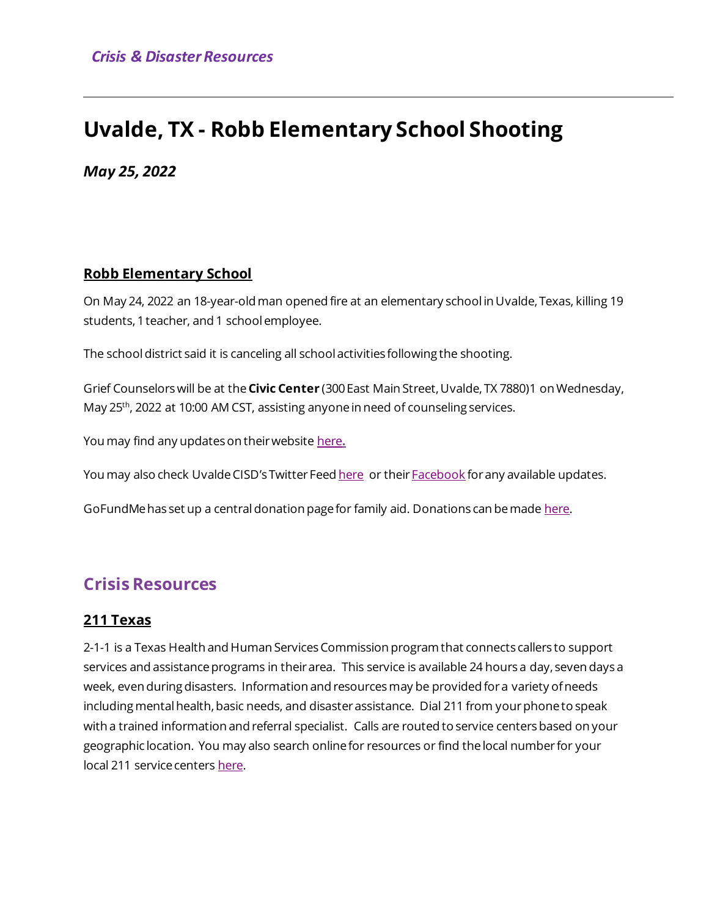# **Uvalde, TX - Robb Elementary School Shooting**

*May 25, 2022*

#### **Robb Elementary School**

On May 24, 2022 an 18-year-old man opened fire at an elementary school in Uvalde, Texas, killing 19 students, 1 teacher, and 1 school employee.

The school district said it is canceling all school activities following the shooting.

Grief Counselors will be at the **Civic Center** (300 East Main Street, Uvalde, TX 7880)1 on Wednesday, May 25<sup>th</sup>, 2022 at 10:00 AM CST, assisting anyone in need of counseling services.

You may find any updates on their website [here](https://www.ucisd.net/Robb)**.**

You may also check Uvalde CISD's Twitter Fee[d here](https://twitter.com/Uvalde_CISD) or their **Facebook** for any available updates.

GoFundMe has set up a central donation page for family aid. Donations can be mad[e here.](https://www.gofundme.com/c/act/donate-to-texas-elementary-school-shooting-relief)

## **Crisis Resources**

#### **211 Texas**

2-1-1 is a Texas Health and Human Services Commission program that connects callers to support services and assistance programs in their area. This service is available 24 hours a day, seven days a week, even during disasters. Information and resources may be provided for a variety of needs including mental health, basic needs, and disaster assistance. Dial 211 from your phone to speak with a trained information and referral specialist. Calls are routed to service centers based on your geographic location. You may also search online for resources or find the local number for your local 211 service centers [here.](http://www.211texas.org/)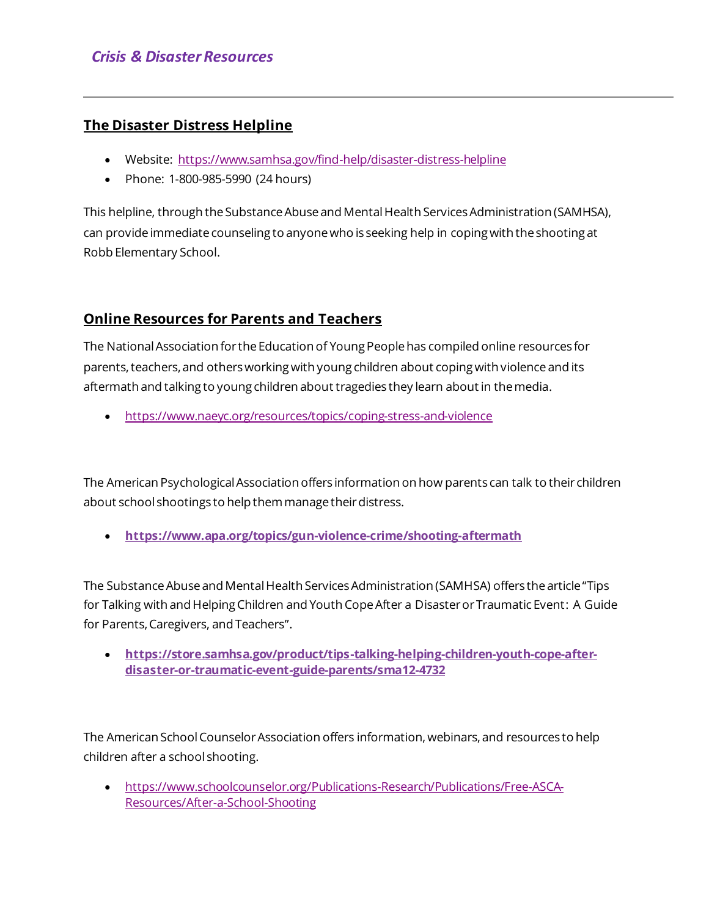#### **The Disaster Distress Helpline**

- Website:<https://www.samhsa.gov/find-help/disaster-distress-helpline>
- Phone: 1-800-985-5990 (24 hours)

This helpline, through the Substance Abuse and Mental Health Services Administration (SAMHSA), can provide immediate counseling to anyone who is seeking help in coping with the shooting at Robb Elementary School.

## **Online Resources for Parents and Teachers**

The National Association for the Education of Young People has compiled online resources for parents, teachers, and others working with young children about coping with violence and its aftermath and talking to young children about tragedies they learn about in the media.

• <https://www.naeyc.org/resources/topics/coping-stress-and-violence>

The American Psychological Association offers information on how parents can talk to their children about school shootings to help them manage their distress.

• **<https://www.apa.org/topics/gun-violence-crime/shooting-aftermath>**

The Substance Abuse and Mental Health Services Administration (SAMHSA) offers the article"Tips for Talking with and Helping Children and Youth Cope After a Disaster or Traumatic Event: A Guide for Parents, Caregivers, and Teachers".

• **[https://store.samhsa.gov/product/tips-talking-helping-children-youth-cope-after](https://store.samhsa.gov/product/tips-talking-helping-children-youth-cope-after-disaster-or-traumatic-event-guide-parents/sma12-4732)[disaster-or-traumatic-event-guide-parents/sma12-4732](https://store.samhsa.gov/product/tips-talking-helping-children-youth-cope-after-disaster-or-traumatic-event-guide-parents/sma12-4732)**

The American School Counselor Association offers information, webinars, and resources to help children after a school shooting.

• [https://www.schoolcounselor.org/Publications-Research/Publications/Free-ASCA-](https://www.schoolcounselor.org/Publications-Research/Publications/Free-ASCA-Resources/After-a-School-Shooting)[Resources/After-a-School-Shooting](https://www.schoolcounselor.org/Publications-Research/Publications/Free-ASCA-Resources/After-a-School-Shooting)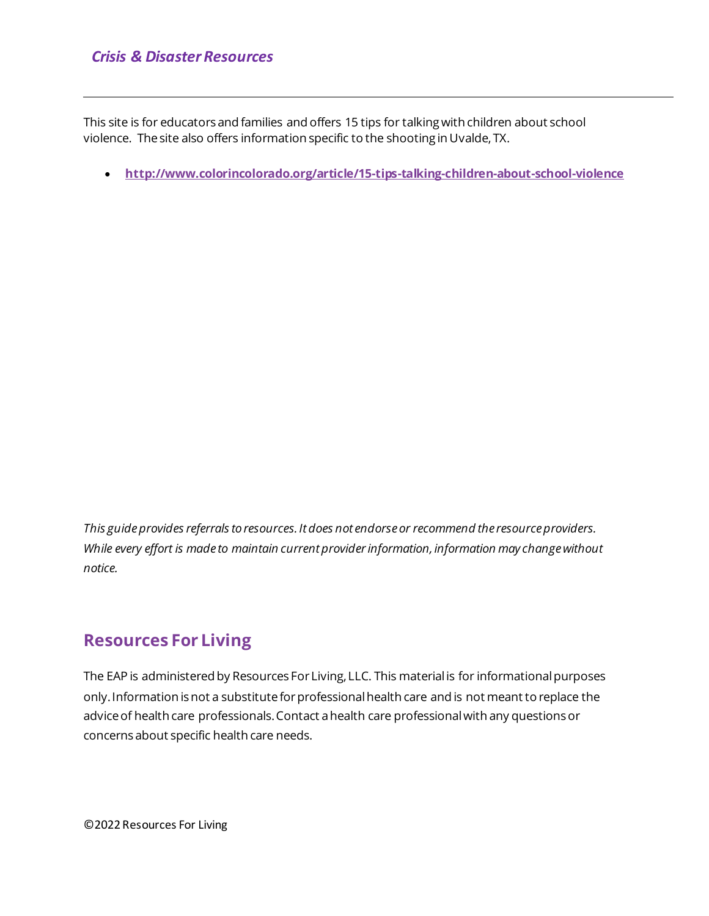This site is for educators and families and offers 15 tips for talking with children about school violence. The site also offers information specific to the shooting in Uvalde, TX.

• **<http://www.colorincolorado.org/article/15-tips-talking-children-about-school-violence>**

*This guide provides referrals to resources. It does not endorse or recommend the resource providers. While every effort is made to maintain current provider information, information may change without notice.*

## **Resources For Living**

The EAP is administered by Resources For Living, LLC. This material is for informational purposes only. Information is not a substitute for professional health care and is not meant to replace the advice of health care professionals. Contact a health care professional with any questions or concerns about specific health care needs.

©2022Resources For Living